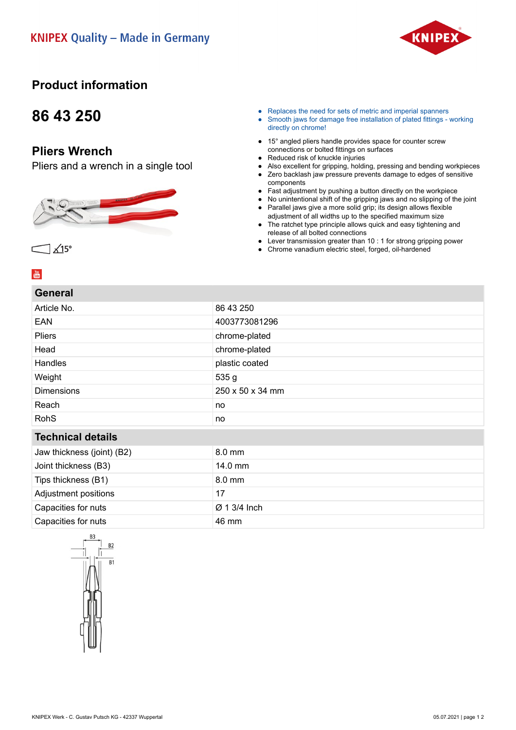

### **Product information**

## **86 43 250**

### **Pliers Wrench**

Pliers and a wrench in a single tool



- Replaces the need for sets of metric and imperial spanners
- Smooth jaws for damage free installation of plated fittings working directly on chrome!
- 15° angled pliers handle provides space for counter screw connections or bolted fittings on surfaces
- Reduced risk of knuckle injuries
- Also excellent for gripping, holding, pressing and bending workpieces<br>● Zero backlash iaw pressure prevents damage to edges of sensitive Zero backlash jaw pressure prevents damage to edges of sensitive
- components
- Fast adjustment by pushing a button directly on the workpiece
- No unintentional shift of the gripping jaws and no slipping of the joint ● Parallel jaws give a more solid grip; its design allows flexible
- adjustment of all widths up to the specified maximum size ● The ratchet type principle allows quick and easy tightening and release of all bolted connections
- Lever transmission greater than 10 : 1 for strong gripping power
- Chrome vanadium electric steel, forged, oil-hardened

#### $\frac{You}{m}$

| <b>General</b> |  |
|----------------|--|
|                |  |
|                |  |

 $X15^\circ$ 

| Article No.                | 86 43 250                |  |
|----------------------------|--------------------------|--|
| <b>EAN</b>                 | 4003773081296            |  |
| <b>Pliers</b>              | chrome-plated            |  |
| Head                       | chrome-plated            |  |
| Handles                    | plastic coated           |  |
| Weight                     | 535g                     |  |
| <b>Dimensions</b>          | 250 x 50 x 34 mm         |  |
| Reach                      | no                       |  |
| <b>RohS</b>                | no                       |  |
| <b>Technical details</b>   |                          |  |
| Jaw thickness (joint) (B2) | 8.0 mm                   |  |
| Joint thickness (B3)       | 14.0 mm                  |  |
| Tips thickness (B1)        | $8.0 \text{ mm}$         |  |
| Adjustment positions       | 17                       |  |
| Capacities for nuts        | $\varnothing$ 1 3/4 lnch |  |
| Capacities for nuts        | 46 mm                    |  |
|                            |                          |  |